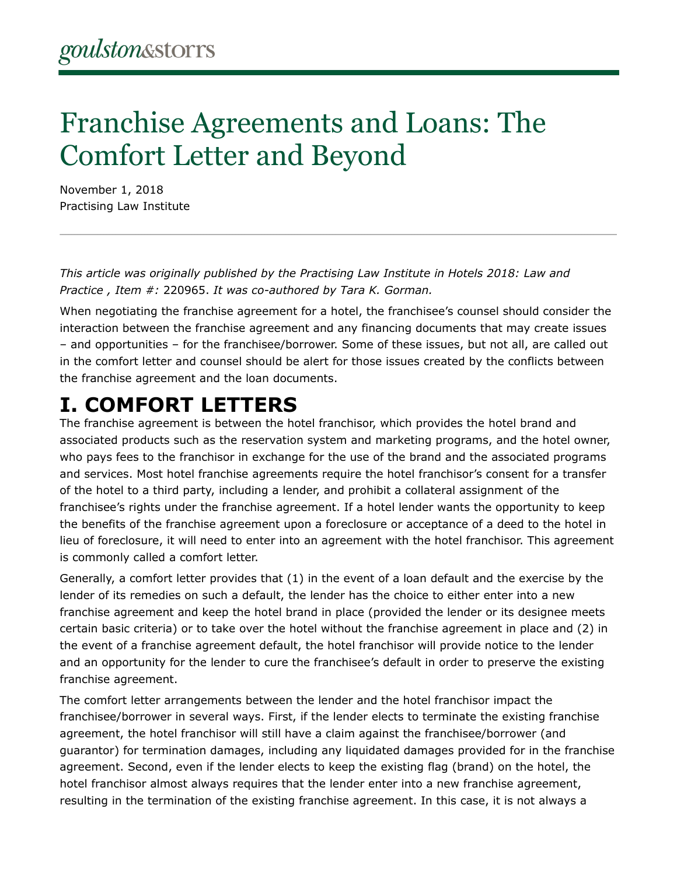# Franchise Agreements and Loans: The Comfort Letter and Beyond

November 1, 2018 Practising Law Institute

*This article was originally published by the Practising Law Institute in Hotels 2018: Law and Practice , Item #:* 220965. *It was co-authored by Tara K. Gorman.*

When negotiating the franchise agreement for a hotel, the franchisee's counsel should consider the interaction between the franchise agreement and any financing documents that may create issues – and opportunities – for the franchisee/borrower. Some of these issues, but not all, are called out in the comfort letter and counsel should be alert for those issues created by the conflicts between the franchise agreement and the loan documents.

### **I. COMFORT LETTERS**

The franchise agreement is between the hotel franchisor, which provides the hotel brand and associated products such as the reservation system and marketing programs, and the hotel owner, who pays fees to the franchisor in exchange for the use of the brand and the associated programs and services. Most hotel franchise agreements require the hotel franchisor's consent for a transfer of the hotel to a third party, including a lender, and prohibit a collateral assignment of the franchisee's rights under the franchise agreement. If a hotel lender wants the opportunity to keep the benefits of the franchise agreement upon a foreclosure or acceptance of a deed to the hotel in lieu of foreclosure, it will need to enter into an agreement with the hotel franchisor. This agreement is commonly called a comfort letter.

Generally, a comfort letter provides that (1) in the event of a loan default and the exercise by the lender of its remedies on such a default, the lender has the choice to either enter into a new franchise agreement and keep the hotel brand in place (provided the lender or its designee meets certain basic criteria) or to take over the hotel without the franchise agreement in place and (2) in the event of a franchise agreement default, the hotel franchisor will provide notice to the lender and an opportunity for the lender to cure the franchisee's default in order to preserve the existing franchise agreement.

The comfort letter arrangements between the lender and the hotel franchisor impact the franchisee/borrower in several ways. First, if the lender elects to terminate the existing franchise agreement, the hotel franchisor will still have a claim against the franchisee/borrower (and guarantor) for termination damages, including any liquidated damages provided for in the franchise agreement. Second, even if the lender elects to keep the existing flag (brand) on the hotel, the hotel franchisor almost always requires that the lender enter into a new franchise agreement, resulting in the termination of the existing franchise agreement. In this case, it is not always a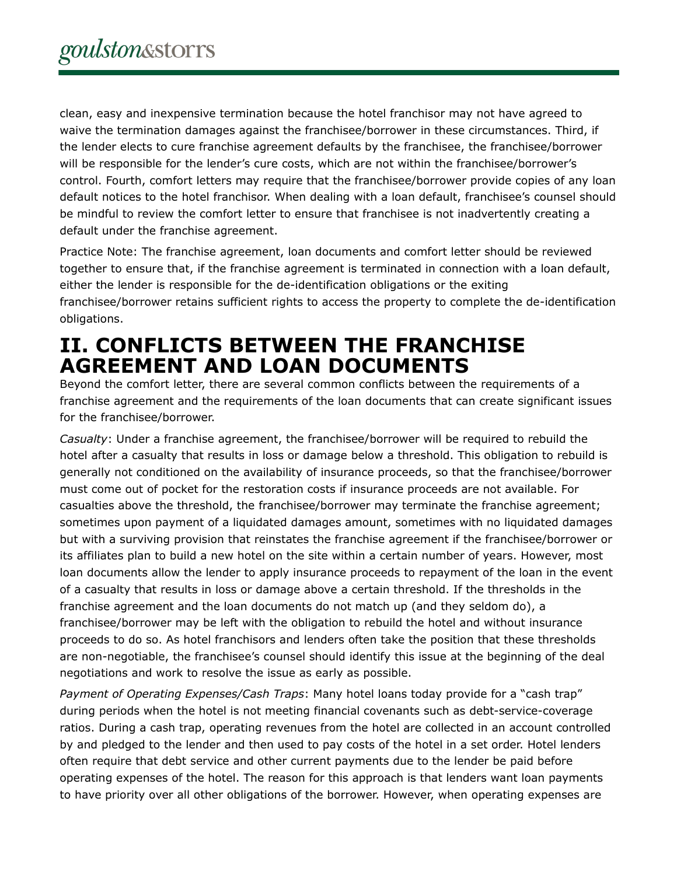clean, easy and inexpensive termination because the hotel franchisor may not have agreed to waive the termination damages against the franchisee/borrower in these circumstances. Third, if the lender elects to cure franchise agreement defaults by the franchisee, the franchisee/borrower will be responsible for the lender's cure costs, which are not within the franchisee/borrower's control. Fourth, comfort letters may require that the franchisee/borrower provide copies of any loan default notices to the hotel franchisor. When dealing with a loan default, franchisee's counsel should be mindful to review the comfort letter to ensure that franchisee is not inadvertently creating a default under the franchise agreement.

Practice Note: The franchise agreement, loan documents and comfort letter should be reviewed together to ensure that, if the franchise agreement is terminated in connection with a loan default, either the lender is responsible for the de-identification obligations or the exiting franchisee/borrower retains sufficient rights to access the property to complete the de-identification obligations.

#### **II. CONFLICTS BETWEEN THE FRANCHISE AGREEMENT AND LOAN DOCUMENTS**

Beyond the comfort letter, there are several common conflicts between the requirements of a franchise agreement and the requirements of the loan documents that can create significant issues for the franchisee/borrower.

*Casualty*: Under a franchise agreement, the franchisee/borrower will be required to rebuild the hotel after a casualty that results in loss or damage below a threshold. This obligation to rebuild is generally not conditioned on the availability of insurance proceeds, so that the franchisee/borrower must come out of pocket for the restoration costs if insurance proceeds are not available. For casualties above the threshold, the franchisee/borrower may terminate the franchise agreement; sometimes upon payment of a liquidated damages amount, sometimes with no liquidated damages but with a surviving provision that reinstates the franchise agreement if the franchisee/borrower or its affiliates plan to build a new hotel on the site within a certain number of years. However, most loan documents allow the lender to apply insurance proceeds to repayment of the loan in the event of a casualty that results in loss or damage above a certain threshold. If the thresholds in the franchise agreement and the loan documents do not match up (and they seldom do), a franchisee/borrower may be left with the obligation to rebuild the hotel and without insurance proceeds to do so. As hotel franchisors and lenders often take the position that these thresholds are non-negotiable, the franchisee's counsel should identify this issue at the beginning of the deal negotiations and work to resolve the issue as early as possible.

*Payment of Operating Expenses/Cash Traps*: Many hotel loans today provide for a "cash trap" during periods when the hotel is not meeting financial covenants such as debt-service-coverage ratios. During a cash trap, operating revenues from the hotel are collected in an account controlled by and pledged to the lender and then used to pay costs of the hotel in a set order. Hotel lenders often require that debt service and other current payments due to the lender be paid before operating expenses of the hotel. The reason for this approach is that lenders want loan payments to have priority over all other obligations of the borrower. However, when operating expenses are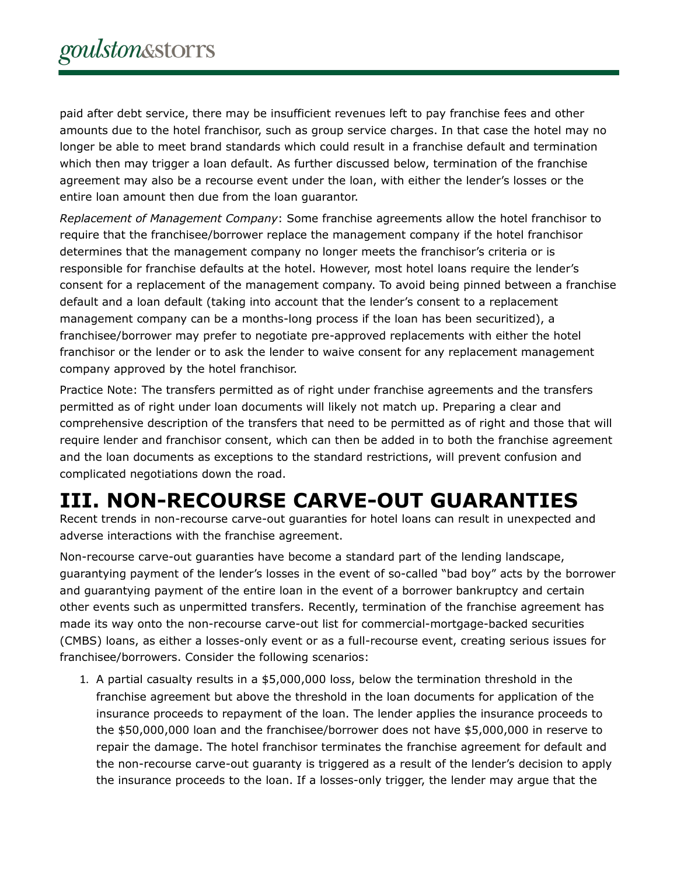paid after debt service, there may be insufficient revenues left to pay franchise fees and other amounts due to the hotel franchisor, such as group service charges. In that case the hotel may no longer be able to meet brand standards which could result in a franchise default and termination which then may trigger a loan default. As further discussed below, termination of the franchise agreement may also be a recourse event under the loan, with either the lender's losses or the entire loan amount then due from the loan guarantor.

*Replacement of Management Company*: Some franchise agreements allow the hotel franchisor to require that the franchisee/borrower replace the management company if the hotel franchisor determines that the management company no longer meets the franchisor's criteria or is responsible for franchise defaults at the hotel. However, most hotel loans require the lender's consent for a replacement of the management company. To avoid being pinned between a franchise default and a loan default (taking into account that the lender's consent to a replacement management company can be a months-long process if the loan has been securitized), a franchisee/borrower may prefer to negotiate pre-approved replacements with either the hotel franchisor or the lender or to ask the lender to waive consent for any replacement management company approved by the hotel franchisor.

Practice Note: The transfers permitted as of right under franchise agreements and the transfers permitted as of right under loan documents will likely not match up. Preparing a clear and comprehensive description of the transfers that need to be permitted as of right and those that will require lender and franchisor consent, which can then be added in to both the franchise agreement and the loan documents as exceptions to the standard restrictions, will prevent confusion and complicated negotiations down the road.

# **III. NON-RECOURSE CARVE-OUT GUARANTIES**

Recent trends in non-recourse carve-out guaranties for hotel loans can result in unexpected and adverse interactions with the franchise agreement.

Non-recourse carve-out guaranties have become a standard part of the lending landscape, guarantying payment of the lender's losses in the event of so-called "bad boy" acts by the borrower and guarantying payment of the entire loan in the event of a borrower bankruptcy and certain other events such as unpermitted transfers. Recently, termination of the franchise agreement has made its way onto the non-recourse carve-out list for commercial-mortgage-backed securities (CMBS) loans, as either a losses-only event or as a full-recourse event, creating serious issues for franchisee/borrowers. Consider the following scenarios:

1. A partial casualty results in a \$5,000,000 loss, below the termination threshold in the franchise agreement but above the threshold in the loan documents for application of the insurance proceeds to repayment of the loan. The lender applies the insurance proceeds to the \$50,000,000 loan and the franchisee/borrower does not have \$5,000,000 in reserve to repair the damage. The hotel franchisor terminates the franchise agreement for default and the non-recourse carve-out guaranty is triggered as a result of the lender's decision to apply the insurance proceeds to the loan. If a losses-only trigger, the lender may argue that the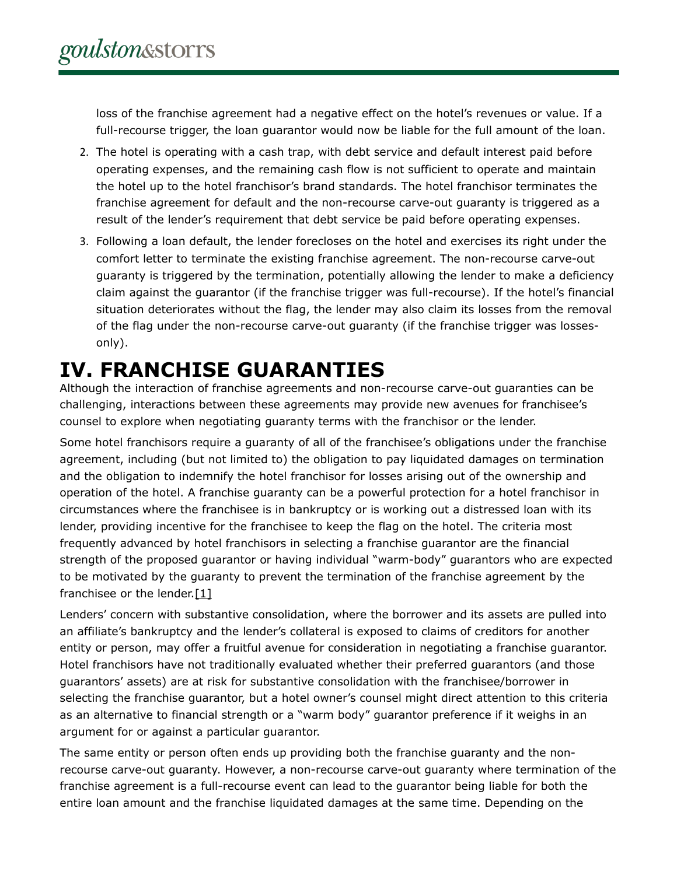loss of the franchise agreement had a negative effect on the hotel's revenues or value. If a full-recourse trigger, the loan guarantor would now be liable for the full amount of the loan.

- 2. The hotel is operating with a cash trap, with debt service and default interest paid before operating expenses, and the remaining cash flow is not sufficient to operate and maintain the hotel up to the hotel franchisor's brand standards. The hotel franchisor terminates the franchise agreement for default and the non-recourse carve-out guaranty is triggered as a result of the lender's requirement that debt service be paid before operating expenses.
- 3. Following a loan default, the lender forecloses on the hotel and exercises its right under the comfort letter to terminate the existing franchise agreement. The non-recourse carve-out guaranty is triggered by the termination, potentially allowing the lender to make a deficiency claim against the guarantor (if the franchise trigger was full-recourse). If the hotel's financial situation deteriorates without the flag, the lender may also claim its losses from the removal of the flag under the non-recourse carve-out guaranty (if the franchise trigger was lossesonly).

## **IV. FRANCHISE GUARANTIES**

Although the interaction of franchise agreements and non-recourse carve-out guaranties can be challenging, interactions between these agreements may provide new avenues for franchisee's counsel to explore when negotiating guaranty terms with the franchisor or the lender.

Some hotel franchisors require a guaranty of all of the franchisee's obligations under the franchise agreement, including (but not limited to) the obligation to pay liquidated damages on termination and the obligation to indemnify the hotel franchisor for losses arising out of the ownership and operation of the hotel. A franchise guaranty can be a powerful protection for a hotel franchisor in circumstances where the franchisee is in bankruptcy or is working out a distressed loan with its lender, providing incentive for the franchisee to keep the flag on the hotel. The criteria most frequently advanced by hotel franchisors in selecting a franchise guarantor are the financial strength of the proposed guarantor or having individual "warm-body" guarantors who are expected to be motivated by the guaranty to prevent the termination of the franchise agreement by the franchisee or the lender. $[1]$ 

Lenders' concern with substantive consolidation, where the borrower and its assets are pulled into an affiliate's bankruptcy and the lender's collateral is exposed to claims of creditors for another entity or person, may offer a fruitful avenue for consideration in negotiating a franchise guarantor. Hotel franchisors have not traditionally evaluated whether their preferred guarantors (and those guarantors' assets) are at risk for substantive consolidation with the franchisee/borrower in selecting the franchise guarantor, but a hotel owner's counsel might direct attention to this criteria as an alternative to financial strength or a "warm body" guarantor preference if it weighs in an argument for or against a particular guarantor.

The same entity or person often ends up providing both the franchise guaranty and the nonrecourse carve-out guaranty. However, a non-recourse carve-out guaranty where termination of the franchise agreement is a full-recourse event can lead to the guarantor being liable for both the entire loan amount and the franchise liquidated damages at the same time. Depending on the